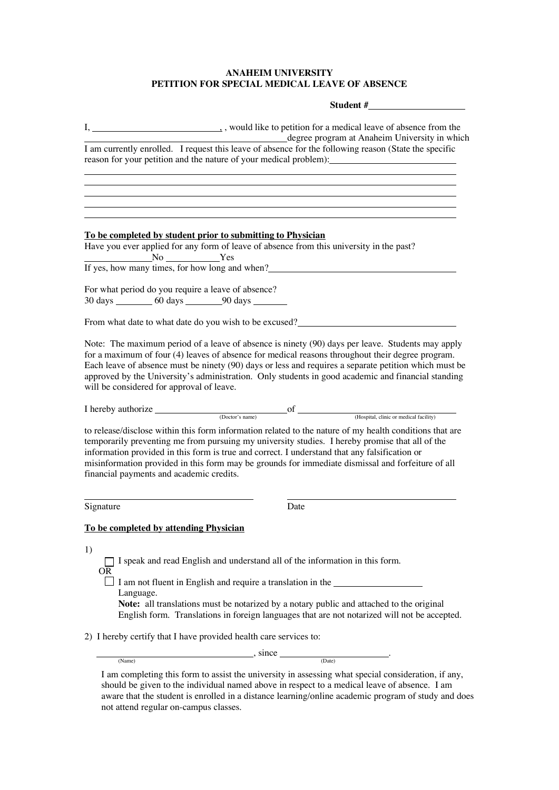## **ANAHEIM UNIVERSITY PETITION FOR SPECIAL MEDICAL LEAVE OF ABSENCE**

## **Student #**

|                              | degree program at Anaheim University in which<br>I am currently enrolled. I request this leave of absence for the following reason (State the specific                                                                                                                                                                                                                                                                                                       |
|------------------------------|--------------------------------------------------------------------------------------------------------------------------------------------------------------------------------------------------------------------------------------------------------------------------------------------------------------------------------------------------------------------------------------------------------------------------------------------------------------|
|                              | reason for your petition and the nature of your medical problem):                                                                                                                                                                                                                                                                                                                                                                                            |
|                              |                                                                                                                                                                                                                                                                                                                                                                                                                                                              |
|                              |                                                                                                                                                                                                                                                                                                                                                                                                                                                              |
|                              |                                                                                                                                                                                                                                                                                                                                                                                                                                                              |
|                              | To be completed by student prior to submitting to Physician                                                                                                                                                                                                                                                                                                                                                                                                  |
|                              | Have you ever applied for any form of leave of absence from this university in the past?<br>$\overline{\phantom{a}}$ No $\overline{\phantom{a}}$ Yes                                                                                                                                                                                                                                                                                                         |
|                              | If yes, how many times, for how long and when?                                                                                                                                                                                                                                                                                                                                                                                                               |
|                              | For what period do you require a leave of absence?                                                                                                                                                                                                                                                                                                                                                                                                           |
|                              | 30 days __________ 60 days _________ 90 days ________                                                                                                                                                                                                                                                                                                                                                                                                        |
|                              | From what date to what date do you wish to be excused?                                                                                                                                                                                                                                                                                                                                                                                                       |
| I hereby authorize           | for a maximum of four (4) leaves of absence for medical reasons throughout their degree program.<br>Each leave of absence must be ninety (90) days or less and requires a separate petition which must be<br>approved by the University's administration. Only students in good academic and financial standing<br>will be considered for approval of leave.                                                                                                 |
|                              | $\begin{minipage}{.4\linewidth} \begin{tabular}{l} {\bf \color{red}{\bf \color{black} (Dotor's name)}} & {\bf \color{red}{\bf \color{black} (Dotor's name)}} \\ \end{tabular} \end{minipage}$                                                                                                                                                                                                                                                                |
|                              | to release/disclose within this form information related to the nature of my health conditions that are<br>temporarily preventing me from pursuing my university studies. I hereby promise that all of the<br>information provided in this form is true and correct. I understand that any falsification or<br>misinformation provided in this form may be grounds for immediate dismissal and forfeiture of all<br>financial payments and academic credits. |
| Signature                    | Date                                                                                                                                                                                                                                                                                                                                                                                                                                                         |
|                              | To be completed by attending Physician                                                                                                                                                                                                                                                                                                                                                                                                                       |
| 1)<br><b>OR</b><br>Language. | □ I speak and read English and understand all of the information in this form.<br>□ I am not fluent in English and require a translation in the <u>second of the second</u><br>Note: all translations must be notarized by a notary public and attached to the original<br>English form. Translations in foreign languages that are not notarized will not be accepted.                                                                                      |
|                              | 2) I hereby certify that I have provided health care services to:                                                                                                                                                                                                                                                                                                                                                                                            |
|                              | $\frac{1}{\sqrt{1-\frac{1}{2}}\sqrt{1-\frac{1}{2}}\sqrt{1-\frac{1}{2}}\sqrt{1-\frac{1}{2}}\sqrt{1-\frac{1}{2}}\sqrt{1-\frac{1}{2}}\sqrt{1-\frac{1}{2}}\sqrt{1-\frac{1}{2}}\sqrt{1-\frac{1}{2}}\sqrt{1-\frac{1}{2}}\sqrt{1-\frac{1}{2}}\sqrt{1-\frac{1}{2}}\sqrt{1-\frac{1}{2}}\sqrt{1-\frac{1}{2}}\sqrt{1-\frac{1}{2}}\sqrt{1-\frac{1}{2}}\sqrt{1-\frac{1}{2}}\sqrt{1-\frac{1}{2}}\sqrt{1-\frac{1}{2}}\sqrt{1-\frac$<br>(Date)                               |
| (Name)                       |                                                                                                                                                                                                                                                                                                                                                                                                                                                              |

I am completing this form to assist the university in assessing what special consideration, if any, should be given to the individual named above in respect to a medical leave of absence. I am aware that the student is enrolled in a distance learning/online academic program of study and does not attend regular on-campus classes.

(Name) (Date)